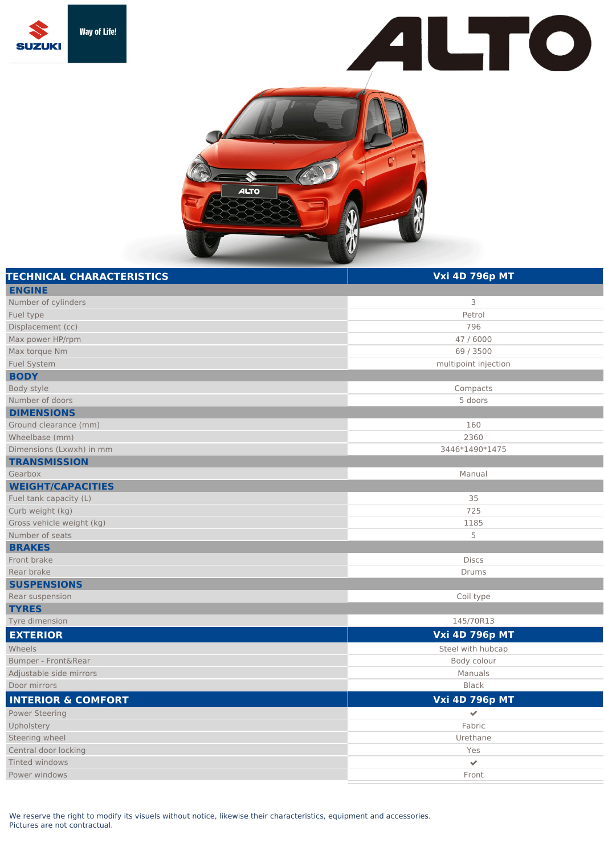





| <b>TECHNICAL CHARACTERISTICS</b> | <b>Vxi 4D 796p MT</b> |
|----------------------------------|-----------------------|
| <b>ENGINE</b>                    |                       |
| Number of cylinders              | 3                     |
| Fuel type                        | Petrol                |
| Displacement (cc)                | 796                   |
| Max power HP/rpm                 | 47 / 6000             |
| Max torque Nm                    | 69 / 3500             |
| <b>Fuel System</b>               | multipoint injection  |
| <b>BODY</b>                      |                       |
| Body style                       | Compacts              |
| Number of doors                  | 5 doors               |
| <b>DIMENSIONS</b>                |                       |
| Ground clearance (mm)            | 160                   |
| Wheelbase (mm)                   | 2360                  |
| Dimensions (Lxwxh) in mm         | 3446*1490*1475        |
| <b>TRANSMISSION</b>              |                       |
| Gearbox                          | Manual                |
| <b>WEIGHT/CAPACITIES</b>         |                       |
| Fuel tank capacity (L)           | 35                    |
| Curb weight (kg)                 | 725                   |
| Gross vehicle weight (kg)        | 1185                  |
| Number of seats                  | 5                     |
| <b>BRAKES</b>                    |                       |
| Front brake                      | <b>Discs</b>          |
| Rear brake                       | <b>Drums</b>          |
| <b>SUSPENSIONS</b>               |                       |
| Rear suspension                  | Coil type             |
| <b>TYRES</b>                     |                       |
| Tyre dimension                   | 145/70R13             |
| <b>EXTERIOR</b>                  | <b>Vxi 4D 796p MT</b> |
| Wheels                           | Steel with hubcap     |
| Bumper - Front&Rear              | Body colour           |
| Adjustable side mirrors          | Manuals               |
| Door mirrors                     | <b>Black</b>          |
| <b>INTERIOR &amp; COMFORT</b>    | <b>Vxi 4D 796p MT</b> |
| <b>Power Steering</b>            | ✔                     |
| Upholstery                       | Fabric                |
| Steering wheel                   | Urethane              |
| Central door locking             | Yes                   |
| Tinted windows                   | $\checkmark$          |
| Power windows                    | Front                 |

We reserve the right to modify its visuels without notice, likewise their characteristics, equipment and accessories. Pictures are not contractual.